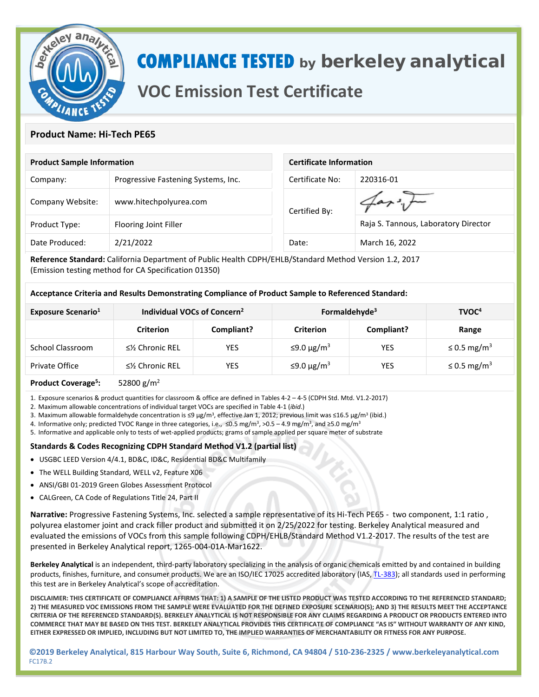

# **COMPLIANCE TESTED by berkeley analytical**

## **VOC Emission Test Certificate**

### **Product Name: Hi-Tech PE65**

| <b>Product Sample Information</b> |                                     | <b>Certificate Information</b> |                                      |  |
|-----------------------------------|-------------------------------------|--------------------------------|--------------------------------------|--|
| Company:                          | Progressive Fastening Systems, Inc. | Certificate No:                | 220316-01                            |  |
| Company Website:                  | www.hitechpolyurea.com              | Certified By:                  |                                      |  |
| Product Type:                     | Flooring Joint Filler               |                                | Raja S. Tannous, Laboratory Director |  |
| Date Produced:                    | 2/21/2022                           | Date:                          | March 16, 2022                       |  |

**Reference Standard:** California Department of Public Health CDPH/EHLB/Standard Method Version 1.2, 2017 (Emission testing method for CA Specification 01350)

#### **Acceptance Criteria and Results Demonstrating Compliance of Product Sample to Referenced Standard:**

| Exposure Scenario <sup>1</sup> | Individual VOCs of Concern <sup>2</sup> |            | Formaldehyde <sup>3</sup> |            | TVOC <sup>4</sup>            |
|--------------------------------|-----------------------------------------|------------|---------------------------|------------|------------------------------|
|                                | <b>Criterion</b>                        | Compliant? | <b>Criterion</b>          | Compliant? | Range                        |
| School Classroom               | $\leq$ % Chronic REL                    | YES        | $≤9.0 \mu g/m3$           | YES        | $\leq$ 0.5 mg/m <sup>3</sup> |
| Private Office                 | $\leq$ % Chronic REL                    | YES        | $≤9.0 \mu g/m3$           | YES        | $\leq$ 0.5 mg/m <sup>3</sup> |

#### **Product Coverage5 :** 52800 g/m2

1. Exposure scenarios & product quantities for classroom & office are defined in Tables 4-2 – 4-5 (CDPH Std. Mtd. V1.2-2017)

2. Maximum allowable concentrations of individual target VOCs are specified in Table 4-1 (*ibid*.)

- 3. Maximum allowable formaldehyde concentration is ≤9 µg/m<sup>3</sup>, effective Jan 1, 2012; previous limit was ≤16.5 µg/m<sup>3</sup> (ibid.)
- 4. Informative only; predicted TVOC Range in three categories, i.e., ≤0.5 mg/m<sup>3</sup>, >0.5 4.9 mg/m<sup>3</sup>, and ≥5.0 mg/m<sup>3</sup>
- 5. Informative and applicable only to tests of wet-applied products; grams of sample applied per square meter of substrate

#### **Standards & Codes Recognizing CDPH Standard Method V1.2 (partial list)**

- USGBC LEED Version 4/4.1, BD&C, ID&C, Residential BD&C Multifamily
- The WELL Building Standard, WELL v2, Feature X06
- ANSI/GBI 01-2019 Green Globes Assessment Protocol
- CALGreen, CA Code of Regulations Title 24, Part II

**Narrative:** Progressive Fastening Systems, Inc. selected a sample representative of its Hi-Tech PE65 - two component, 1:1 ratio , polyurea elastomer joint and crack filler product and submitted it on 2/25/2022 for testing. Berkeley Analytical measured and evaluated the emissions of VOCs from this sample following CDPH/EHLB/Standard Method V1.2-2017. The results of the test are presented in Berkeley Analytical report, 1265-004-01A-Mar1622.

**Berkeley Analytical** is an independent, third-party laboratory specializing in the analysis of organic chemicals emitted by and contained in building products, finishes, furniture, and consumer products. We are an ISO/IEC 17025 accredited laboratory (IAS[, TL-383\)](https://www.iasonline.org/wp-content/uploads/2017/05/TL-383-Scope.pdf); all standards used in performing this test are in Berkeley Analytical's scope of accreditation.

**DISCLAIMER: THIS CERTIFICATE OF COMPLIANCE AFFIRMS THAT: 1) A SAMPLE OF THE LISTED PRODUCT WAS TESTED ACCORDING TO THE REFERENCED STANDARD; 2) THE MEASURED VOC EMISSIONS FROM THE SAMPLE WERE EVALUATED FOR THE DEFINED EXPOSURE SCENARIO(S); AND 3) THE RESULTS MEET THE ACCEPTANCE CRITERIA OF THE REFERENCED STANDARD(S). BERKELEY ANALYTICAL IS NOT RESPONSIBLE FOR ANY CLAIMS REGARDING A PRODUCT OR PRODUCTS ENTERED INTO COMMERCE THAT MAY BE BASED ON THIS TEST. BERKELEY ANALYTICAL PROVIDES THIS CERTIFICATE OF COMPLIANCE "AS IS" WITHOUT WARRANTY OF ANY KIND, EITHER EXPRESSED OR IMPLIED, INCLUDING BUT NOT LIMITED TO, THE IMPLIED WARRANTIES OF MERCHANTABILITY OR FITNESS FOR ANY PURPOSE.**

**©2019 Berkeley Analytical, 815 Harbour Way South, Suite 6, Richmond, CA 94804 / 510-236-2325 / www.berkeleyanalytical.com** FC17B.2